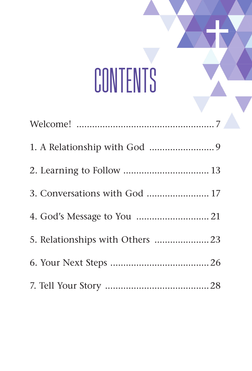# **CONTENTS**

| 3. Conversations with God  17 |
|-------------------------------|
|                               |
|                               |
|                               |
|                               |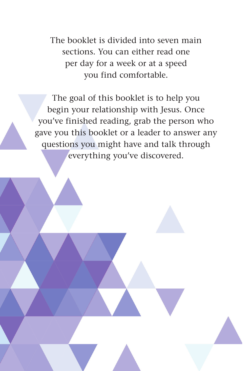The booklet is divided into seven main sections. You can either read one per day for a week or at a speed you find comfortable.

The goal of this booklet is to help you begin your relationship with Jesus. Once you've finished reading, grab the person who gave you this booklet or a leader to answer any questions you might have and talk through everything you've discovered.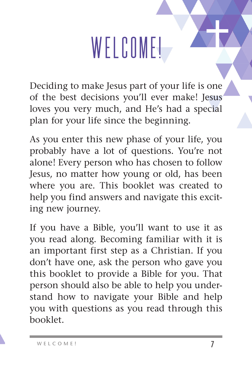## WELCOME!

Deciding to make Jesus part of your life is one of the best decisions you'll ever make! Jesus loves you very much, and He's had a special plan for your life since the beginning.

As you enter this new phase of your life, you probably have a lot of questions. You're not alone! Every person who has chosen to follow Jesus, no matter how young or old, has been where you are. This booklet was created to help you find answers and navigate this exciting new journey.

If you have a Bible, you'll want to use it as you read along. Becoming familiar with it is an important first step as a Christian. If you don't have one, ask the person who gave you this booklet to provide a Bible for you. That person should also be able to help you understand how to navigate your Bible and help you with questions as you read through this booklet.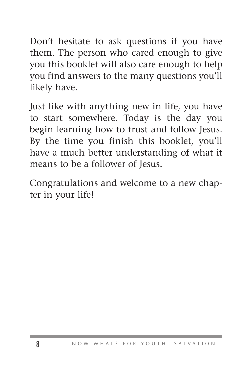Don't hesitate to ask questions if you have them. The person who cared enough to give you this booklet will also care enough to help you find answers to the many questions you'll likely have.

Just like with anything new in life, you have to start somewhere. Today is the day you begin learning how to trust and follow Jesus. By the time you finish this booklet, you'll have a much better understanding of what it means to be a follower of Jesus.

Congratulations and welcome to a new chapter in your life!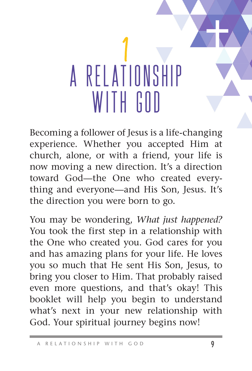### |<br>|<br>| A RELATIONSHIP WITH GOD

Becoming a follower of Jesus is a life-changing experience. Whether you accepted Him at church, alone, or with a friend, your life is now moving a new direction. It's a direction toward God—the One who created everything and everyone—and His Son, Jesus. It's the direction you were born to go.

You may be wondering, *What just happened?*  You took the first step in a relationship with the One who created you. God cares for you and has amazing plans for your life. He loves you so much that He sent His Son, Jesus, to bring you closer to Him. That probably raised even more questions, and that's okay! This booklet will help you begin to understand what's next in your new relationship with God. Your spiritual journey begins now!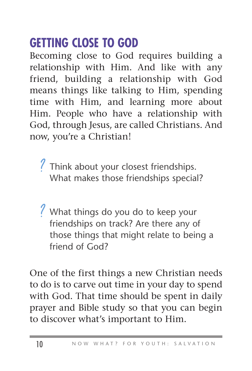### **GETTING CLOSE TO GOD**

Becoming close to God requires building a relationship with Him. And like with any friend, building a relationship with God means things like talking to Him, spending time with Him, and learning more about Him. People who have a relationship with God, through Jesus, are called Christians. And now, you're a Christian!

Think about your closest friendships.<br>What makes those friendships special What makes those friendships special?

What things do you do to keep your<br>friendshins on track? Are there any of friendships on track? Are there any of those things that might relate to being a friend of God?

One of the first things a new Christian needs to do is to carve out time in your day to spend with God. That time should be spent in daily prayer and Bible study so that you can begin to discover what's important to Him.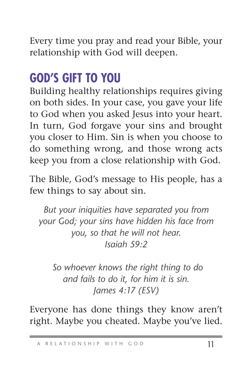Every time you pray and read your Bible, your relationship with God will deepen.

#### **GOD'S GIFT TO YOU**

Building healthy relationships requires giving on both sides. In your case, you gave your life to God when you asked Jesus into your heart. In turn, God forgave your sins and brought you closer to Him. Sin is when you choose to do something wrong, and those wrong acts keep you from a close relationship with God.

The Bible, God's message to His people, has a few things to say about sin.

*But your iniquities have separated you from your God; your sins have hidden his face from you, so that he will not hear. Isaiah 59:2*

 *So whoever knows the right thing to do and fails to do it, for him it is sin. James 4:17 (ESV)*

Everyone has done things they know aren't right. Maybe you cheated. Maybe you've lied.